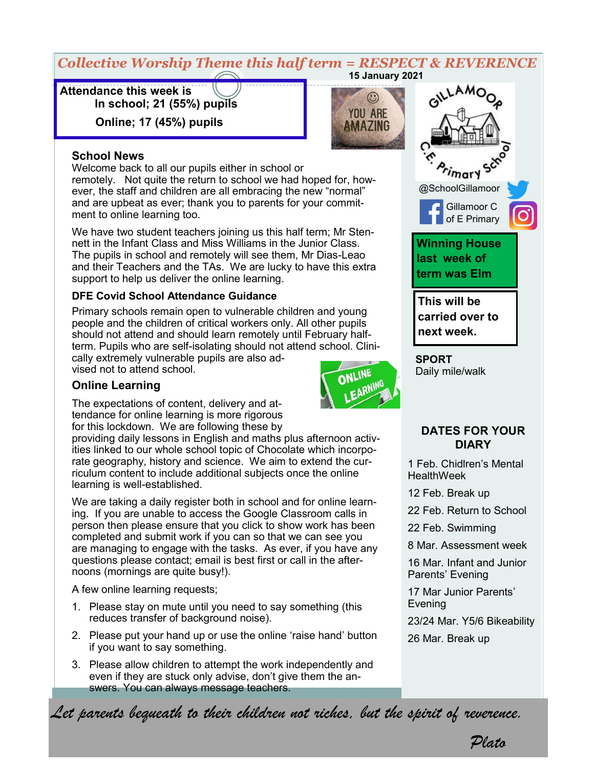#### *Collective Worship Theme this half term = RESPECT & REVERENCE* **15 January 2021**

 $\odot$ **YOU ARE AMAZING** 

**Attendance this week is In school; 21 (55%) pupils** 

 **Online; 17 (45%) pupils**

#### **School News**

Welcome back to all our pupils either in school or remotely. Not quite the return to school we had hoped for, however, the staff and children are all embracing the new "normal" and are upbeat as ever; thank you to parents for your commitment to online learning too.

We have two student teachers joining us this half term; Mr Stennett in the Infant Class and Miss Williams in the Junior Class. The pupils in school and remotely will see them, Mr Dias-Leao and their Teachers and the TAs. We are lucky to have this extra support to help us deliver the online learning.

#### **DFE Covid School Attendance Guidance**

Primary schools remain open to vulnerable children and young people and the children of critical workers only. All other pupils should not attend and should learn remotely until February halfterm. Pupils who are self-isolating should not attend school. Clini-

cally extremely vulnerable pupils are also advised not to attend school.



The expectations of content, delivery and attendance for online learning is more rigorous for this lockdown. We are following these by

providing daily lessons in English and maths plus afternoon activities linked to our whole school topic of Chocolate which incorporate geography, history and science. We aim to extend the curriculum content to include additional subjects once the online learning is well-established.

We are taking a daily register both in school and for online learning. If you are unable to access the Google Classroom calls in person then please ensure that you click to show work has been completed and submit work if you can so that we can see you are managing to engage with the tasks. As ever, if you have any questions please contact; email is best first or call in the afternoons (mornings are quite busy!).

A few online learning requests;

- 1. Please stay on mute until you need to say something (this reduces transfer of background noise).
- 2. Please put your hand up or use the online 'raise hand' button if you want to say something.
- 3. Please allow children to attempt the work independently and even if they are stuck only advise, don't give them the answers. You can always message teachers.



**SPORT** Daily mile/walk

#### **DATES FOR YOUR DIARY**

1 Feb. Chidlren's Mental **HealthWeek** 

12 Feb. Break up

22 Feb. Return to School

22 Feb. Swimming

8 Mar. Assessment week

16 Mar. Infant and Junior Parents' Evening

17 Mar Junior Parents' Evening

23/24 Mar. Y5/6 Bikeability

26 Mar. Break up

*Let parents bequeath to their children not riches, but the spirit of reverence.*